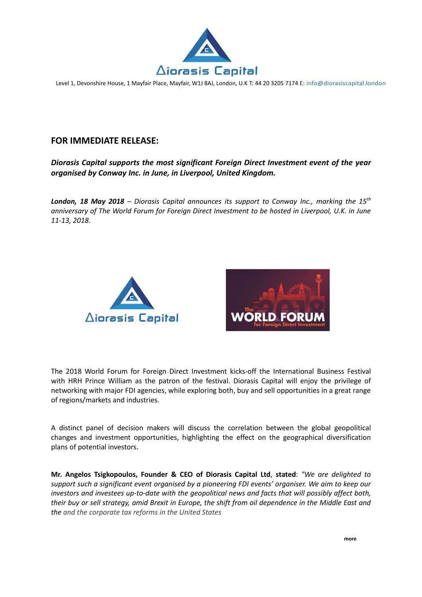

Level 1, Devonshire House, 1 Mayfair Place, Mayfair, W1J 8AJ, London, U.K T: 44 20 3205 7174 E: info@diorasiscapital.london

## **FOR IMMEDIATE RELEASE:**

## *Diorasis Capital supports the most significant Foreign Direct Investment event of the year organised by Conway Inc. in June, in Liverpool, United Kingdom.*

*London, 18 May 2018 – Diorasis Capital announces its support to Conway Inc., marking the 15th anniversary of The World Forum for Foreign Direct Investment to be hosted in Liverpool, U.K. in June 11-13, 2018.* 





The 2018 World Forum for Foreign Direct Investment kicks-off the International Business Festival with HRH Prince William as the patron of the festival. Diorasis Capital will enjoy the privilege of networking with major FDI agencies, while exploring both, buy and sell opportunities in a great range of regions/markets and industries.

A distinct panel of decision makers will discuss the correlation between the global geopolitical changes and investment opportunities, highlighting the effect on the geographical diversification plans of potential investors.

**Mr. Angelos Tsigkopoulos, Founder & CEO of Diorasis Capital Ltd**, **stated**: *"We are delighted to support such a significant event organised by a pioneering FDI events' organiser. We aim to keep our investors and investees up-to-date with the geopolitical news and facts that will possibly affect both, their buy or sell strategy, amid Brexit in Europe, the shift from oil dependence in the Middle East and the and the corporate tax reforms in the United States*